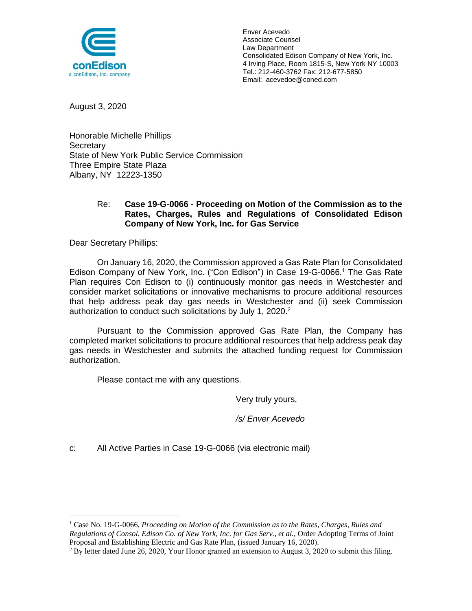

Enver Acevedo Associate Counsel Law Department Consolidated Edison Company of New York, Inc. 4 Irving Place, Room 1815-S, New York NY 10003 Tel.: 212-460-3762 Fax: 212-677-5850 Email: acevedoe@coned.com

August 3, 2020

Honorable Michelle Phillips **Secretary** State of New York Public Service Commission Three Empire State Plaza Albany, NY 12223-1350

#### Re: **Case 19-G-0066 - Proceeding on Motion of the Commission as to the Rates, Charges, Rules and Regulations of Consolidated Edison Company of New York, Inc. for Gas Service**

Dear Secretary Phillips:

On January 16, 2020, the Commission approved a Gas Rate Plan for Consolidated Edison Company of New York, Inc. ("Con Edison") in Case 19-G-0066.<sup>1</sup> The Gas Rate Plan requires Con Edison to (i) continuously monitor gas needs in Westchester and consider market solicitations or innovative mechanisms to procure additional resources that help address peak day gas needs in Westchester and (ii) seek Commission authorization to conduct such solicitations by July 1, 2020.<sup>2</sup>

Pursuant to the Commission approved Gas Rate Plan, the Company has completed market solicitations to procure additional resources that help address peak day gas needs in Westchester and submits the attached funding request for Commission authorization.

Please contact me with any questions.

Very truly yours,

*/s/ Enver Acevedo*

c: All Active Parties in Case 19-G-0066 (via electronic mail)

<sup>1</sup> Case No. 19-G-0066, *Proceeding on Motion of the Commission as to the Rates, Charges, Rules and Regulations of Consol. Edison Co. of New York, Inc. for Gas Serv., et al.*, Order Adopting Terms of Joint Proposal and Establishing Electric and Gas Rate Plan, (issued January 16, 2020).

 $2$  By letter dated June 26, 2020, Your Honor granted an extension to August 3, 2020 to submit this filing.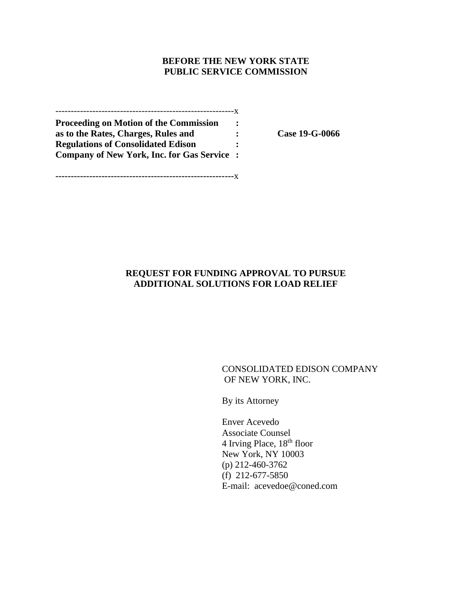#### **BEFORE THE NEW YORK STATE PUBLIC SERVICE COMMISSION**

----------------------------------------------------------x **Proceeding on Motion of the Commission : as to the Rates, Charges, Rules and : Case 19-G-0066 Regulations of Consolidated Edison : Company of New York, Inc. for Gas Service :**

**----------------------------------------------------------**x

### **REQUEST FOR FUNDING APPROVAL TO PURSUE ADDITIONAL SOLUTIONS FOR LOAD RELIEF**

#### CONSOLIDATED EDISON COMPANY OF NEW YORK, INC.

By its Attorney

Enver Acevedo Associate Counsel 4 Irving Place,  $18<sup>th</sup>$  floor New York, NY 10003 (p) 212-460-3762 (f) 212-677-5850 E-mail: acevedoe@coned.com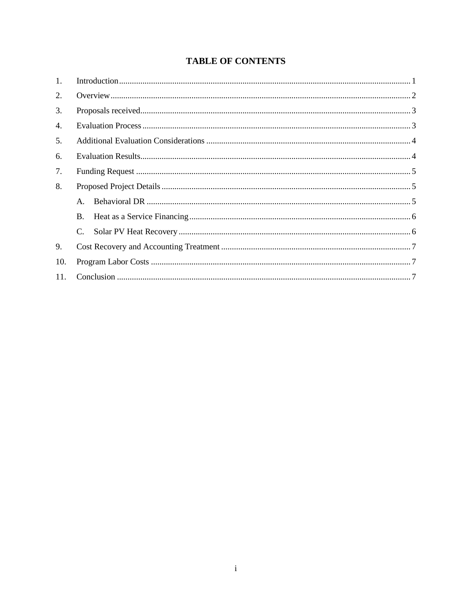# **TABLE OF CONTENTS**

| 1.  |                |  |
|-----|----------------|--|
| 2.  |                |  |
| 3.  |                |  |
| 4.  |                |  |
| 5.  |                |  |
| 6.  |                |  |
| 7.  |                |  |
| 8.  |                |  |
|     | $\mathsf{A}$ . |  |
|     | <b>B.</b>      |  |
|     |                |  |
| 9.  |                |  |
| 10. |                |  |
| 11. |                |  |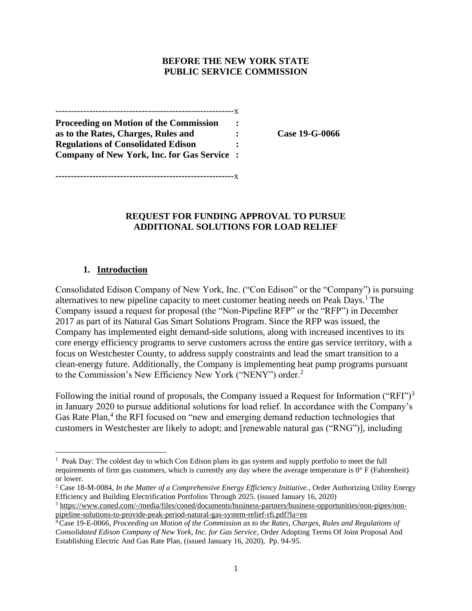#### **BEFORE THE NEW YORK STATE PUBLIC SERVICE COMMISSION**

----------------------------------------------------------x **Proceeding on Motion of the Commission : as to the Rates, Charges, Rules and : Case 19-G-0066 Regulations of Consolidated Edison : Company of New York, Inc. for Gas Service :**

**----------------------------------------------------------**x

**REQUEST FOR FUNDING APPROVAL TO PURSUE ADDITIONAL SOLUTIONS FOR LOAD RELIEF**

### **1. Introduction**

<span id="page-3-0"></span>Consolidated Edison Company of New York, Inc. ("Con Edison" or the "Company") is pursuing alternatives to new pipeline capacity to meet customer heating needs on Peak Days.<sup>1</sup> The Company issued a request for proposal (the "Non-Pipeline RFP" or the "RFP") in December 2017 as part of its Natural Gas Smart Solutions Program. Since the RFP was issued, the Company has implemented eight demand-side solutions, along with increased incentives to its core energy efficiency programs to serve customers across the entire gas service territory, with a focus on Westchester County, to address supply constraints and lead the smart transition to a clean-energy future. Additionally, the Company is implementing heat pump programs pursuant to the Commission's New Efficiency New York ("NENY") order.<sup>2</sup>

Following the initial round of proposals, the Company issued a Request for Information ("RFI")<sup>3</sup> in January 2020 to pursue additional solutions for load relief. In accordance with the Company's Gas Rate Plan,<sup>4</sup> the RFI focused on "new and emerging demand reduction technologies that customers in Westchester are likely to adopt; and [renewable natural gas ("RNG")], including

<sup>&</sup>lt;sup>1</sup> Peak Day: The coldest day to which Con Edison plans its gas system and supply portfolio to meet the full requirements of firm gas customers, which is currently any day where the average temperature is  $0^{\circ}$  F (Fahrenheit) or lower.

<sup>2</sup> Case 18-M-0084, *In the Matter of a Comprehensive Energy Efficiency Initiative.*, Order Authorizing Utility Energy Efficiency and Building Electrification Portfolios Through 2025. (issued January 16, 2020)

<sup>3</sup> [https://www.coned.com/-/media/files/coned/documents/business-partners/business-opportunities/non-pipes/non](https://www.coned.com/-/media/files/coned/documents/business-partners/business-opportunities/non-pipes/non-pipeline-solutions-to-provide-peak-period-natural-gas-system-relief-rfi.pdf?la=en)[pipeline-solutions-to-provide-peak-period-natural-gas-system-relief-rfi.pdf?la=en](https://www.coned.com/-/media/files/coned/documents/business-partners/business-opportunities/non-pipes/non-pipeline-solutions-to-provide-peak-period-natural-gas-system-relief-rfi.pdf?la=en)

<sup>4</sup> Case 19-E-0066, *Proceeding on Motion of the Commission as to the Rates, Charges, Rules and Regulations of Consolidated Edison Company of New York, Inc. for Gas Service*, Order Adopting Terms Of Joint Proposal And Establishing Electric And Gas Rate Plan, (issued January 16, 2020), Pp. 94-95.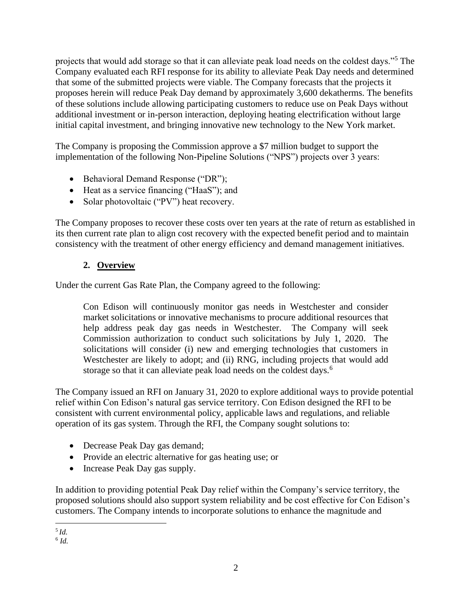projects that would add storage so that it can alleviate peak load needs on the coldest days."<sup>5</sup> The Company evaluated each RFI response for its ability to alleviate Peak Day needs and determined that some of the submitted projects were viable. The Company forecasts that the projects it proposes herein will reduce Peak Day demand by approximately 3,600 dekatherms. The benefits of these solutions include allowing participating customers to reduce use on Peak Days without additional investment or in-person interaction, deploying heating electrification without large initial capital investment, and bringing innovative new technology to the New York market.

The Company is proposing the Commission approve a \$7 million budget to support the implementation of the following Non-Pipeline Solutions ("NPS") projects over 3 years:

- Behavioral Demand Response ("DR");
- Heat as a service financing ("HaaS"); and
- Solar photovoltaic ("PV") heat recovery.

The Company proposes to recover these costs over ten years at the rate of return as established in its then current rate plan to align cost recovery with the expected benefit period and to maintain consistency with the treatment of other energy efficiency and demand management initiatives.

## **2. Overview**

<span id="page-4-0"></span>Under the current Gas Rate Plan, the Company agreed to the following:

Con Edison will continuously monitor gas needs in Westchester and consider market solicitations or innovative mechanisms to procure additional resources that help address peak day gas needs in Westchester. The Company will seek Commission authorization to conduct such solicitations by July 1, 2020. The solicitations will consider (i) new and emerging technologies that customers in Westchester are likely to adopt; and (ii) RNG, including projects that would add storage so that it can alleviate peak load needs on the coldest days.<sup>6</sup>

The Company issued an RFI on January 31, 2020 to explore additional ways to provide potential relief within Con Edison's natural gas service territory. Con Edison designed the RFI to be consistent with current environmental policy, applicable laws and regulations, and reliable operation of its gas system. Through the RFI, the Company sought solutions to:

- Decrease Peak Day gas demand;
- Provide an electric alternative for gas heating use; or
- Increase Peak Day gas supply.

In addition to providing potential Peak Day relief within the Company's service territory, the proposed solutions should also support system reliability and be cost effective for Con Edison's customers. The Company intends to incorporate solutions to enhance the magnitude and

6 *Id.*

<sup>5</sup> *Id.*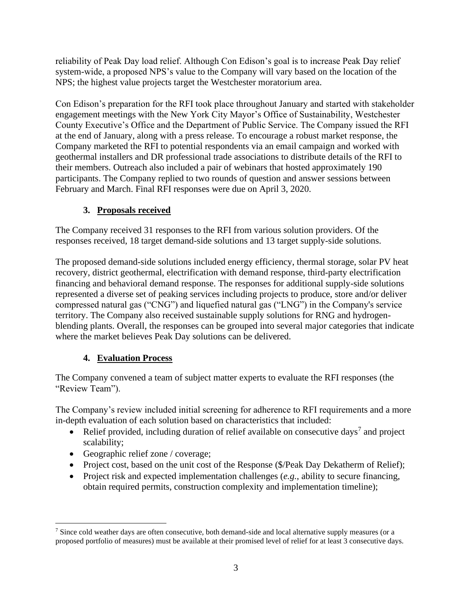reliability of Peak Day load relief. Although Con Edison's goal is to increase Peak Day relief system-wide, a proposed NPS's value to the Company will vary based on the location of the NPS; the highest value projects target the Westchester moratorium area.

Con Edison's preparation for the RFI took place throughout January and started with stakeholder engagement meetings with the New York City Mayor's Office of Sustainability, Westchester County Executive's Office and the Department of Public Service. The Company issued the RFI at the end of January, along with a press release. To encourage a robust market response, the Company marketed the RFI to potential respondents via an email campaign and worked with geothermal installers and DR professional trade associations to distribute details of the RFI to their members. Outreach also included a pair of webinars that hosted approximately 190 participants. The Company replied to two rounds of question and answer sessions between February and March. Final RFI responses were due on April 3, 2020.

## **3. Proposals received**

<span id="page-5-0"></span>The Company received 31 responses to the RFI from various solution providers. Of the responses received, 18 target demand-side solutions and 13 target supply-side solutions.

The proposed demand-side solutions included energy efficiency, thermal storage, solar PV heat recovery, district geothermal, electrification with demand response, third-party electrification financing and behavioral demand response. The responses for additional supply-side solutions represented a diverse set of peaking services including projects to produce, store and/or deliver compressed natural gas ("CNG") and liquefied natural gas ("LNG") in the Company's service territory. The Company also received sustainable supply solutions for RNG and hydrogenblending plants. Overall, the responses can be grouped into several major categories that indicate where the market believes Peak Day solutions can be delivered.

# **4. Evaluation Process**

<span id="page-5-1"></span>The Company convened a team of subject matter experts to evaluate the RFI responses (the "Review Team").

The Company's review included initial screening for adherence to RFI requirements and a more in-depth evaluation of each solution based on characteristics that included:

- Relief provided, including duration of relief available on consecutive days<sup>7</sup> and project scalability;
- Geographic relief zone / coverage;
- Project cost, based on the unit cost of the Response (\$/Peak Day Dekatherm of Relief);
- Project risk and expected implementation challenges (*e.g.*, ability to secure financing, obtain required permits, construction complexity and implementation timeline);

<sup>7</sup> Since cold weather days are often consecutive, both demand-side and local alternative supply measures (or a proposed portfolio of measures) must be available at their promised level of relief for at least 3 consecutive days.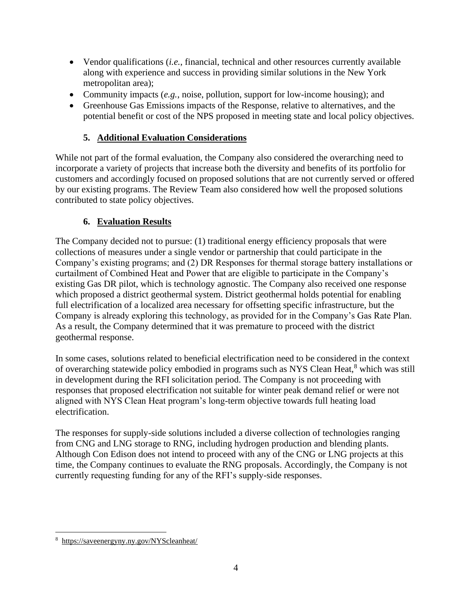- Vendor qualifications *(i.e., financial, technical and other resources currently available* along with experience and success in providing similar solutions in the New York metropolitan area);
- Community impacts (*e.g.*, noise, pollution, support for low-income housing); and
- Greenhouse Gas Emissions impacts of the Response, relative to alternatives, and the potential benefit or cost of the NPS proposed in meeting state and local policy objectives.

# **5. Additional Evaluation Considerations**

<span id="page-6-0"></span>While not part of the formal evaluation, the Company also considered the overarching need to incorporate a variety of projects that increase both the diversity and benefits of its portfolio for customers and accordingly focused on proposed solutions that are not currently served or offered by our existing programs. The Review Team also considered how well the proposed solutions contributed to state policy objectives.

## **6. Evaluation Results**

<span id="page-6-1"></span>The Company decided not to pursue: (1) traditional energy efficiency proposals that were collections of measures under a single vendor or partnership that could participate in the Company's existing programs; and (2) DR Responses for thermal storage battery installations or curtailment of Combined Heat and Power that are eligible to participate in the Company's existing Gas DR pilot, which is technology agnostic. The Company also received one response which proposed a district geothermal system. District geothermal holds potential for enabling full electrification of a localized area necessary for offsetting specific infrastructure, but the Company is already exploring this technology, as provided for in the Company's Gas Rate Plan. As a result, the Company determined that it was premature to proceed with the district geothermal response.

In some cases, solutions related to beneficial electrification need to be considered in the context of overarching statewide policy embodied in programs such as NYS Clean Heat,<sup>8</sup> which was still in development during the RFI solicitation period. The Company is not proceeding with responses that proposed electrification not suitable for winter peak demand relief or were not aligned with NYS Clean Heat program's long-term objective towards full heating load electrification.

The responses for supply-side solutions included a diverse collection of technologies ranging from CNG and LNG storage to RNG, including hydrogen production and blending plants. Although Con Edison does not intend to proceed with any of the CNG or LNG projects at this time, the Company continues to evaluate the RNG proposals. Accordingly, the Company is not currently requesting funding for any of the RFI's supply-side responses.

<sup>8</sup> <https://saveenergyny.ny.gov/NYScleanheat/>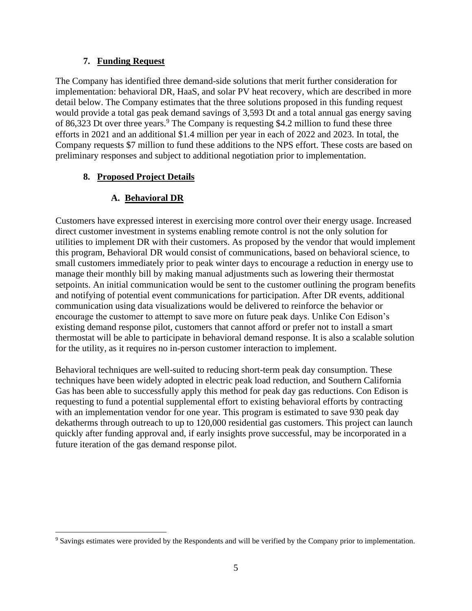### **7. Funding Request**

<span id="page-7-0"></span>The Company has identified three demand-side solutions that merit further consideration for implementation: behavioral DR, HaaS, and solar PV heat recovery, which are described in more detail below. The Company estimates that the three solutions proposed in this funding request would provide a total gas peak demand savings of 3,593 Dt and a total annual gas energy saving of 86,323 Dt over three years.<sup>9</sup> The Company is requesting \$4.2 million to fund these three efforts in 2021 and an additional \$1.4 million per year in each of 2022 and 2023. In total, the Company requests \$7 million to fund these additions to the NPS effort. These costs are based on preliminary responses and subject to additional negotiation prior to implementation.

## <span id="page-7-1"></span>**8. Proposed Project Details**

# **A. Behavioral DR**

<span id="page-7-2"></span>Customers have expressed interest in exercising more control over their energy usage. Increased direct customer investment in systems enabling remote control is not the only solution for utilities to implement DR with their customers. As proposed by the vendor that would implement this program, Behavioral DR would consist of communications, based on behavioral science, to small customers immediately prior to peak winter days to encourage a reduction in energy use to manage their monthly bill by making manual adjustments such as lowering their thermostat setpoints. An initial communication would be sent to the customer outlining the program benefits and notifying of potential event communications for participation. After DR events, additional communication using data visualizations would be delivered to reinforce the behavior or encourage the customer to attempt to save more on future peak days. Unlike Con Edison's existing demand response pilot, customers that cannot afford or prefer not to install a smart thermostat will be able to participate in behavioral demand response. It is also a scalable solution for the utility, as it requires no in-person customer interaction to implement.

Behavioral techniques are well-suited to reducing short-term peak day consumption. These techniques have been widely adopted in electric peak load reduction, and Southern California Gas has been able to successfully apply this method for peak day gas reductions. Con Edison is requesting to fund a potential supplemental effort to existing behavioral efforts by contracting with an implementation vendor for one year. This program is estimated to save 930 peak day dekatherms through outreach to up to 120,000 residential gas customers. This project can launch quickly after funding approval and, if early insights prove successful, may be incorporated in a future iteration of the gas demand response pilot.

<sup>&</sup>lt;sup>9</sup> Savings estimates were provided by the Respondents and will be verified by the Company prior to implementation.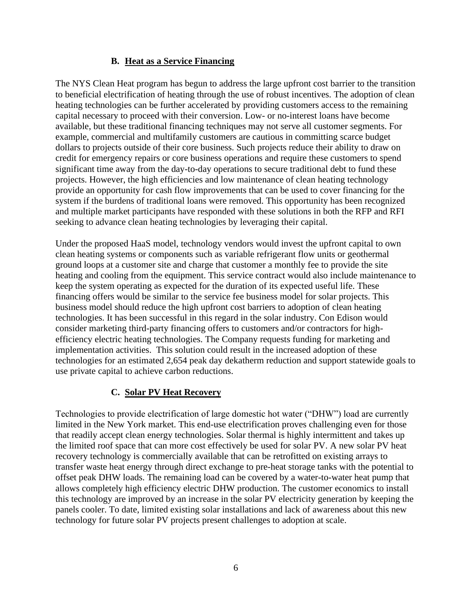### **B. Heat as a Service Financing**

<span id="page-8-0"></span>The NYS Clean Heat program has begun to address the large upfront cost barrier to the transition to beneficial electrification of heating through the use of robust incentives. The adoption of clean heating technologies can be further accelerated by providing customers access to the remaining capital necessary to proceed with their conversion. Low- or no-interest loans have become available, but these traditional financing techniques may not serve all customer segments. For example, commercial and multifamily customers are cautious in committing scarce budget dollars to projects outside of their core business. Such projects reduce their ability to draw on credit for emergency repairs or core business operations and require these customers to spend significant time away from the day-to-day operations to secure traditional debt to fund these projects. However, the high efficiencies and low maintenance of clean heating technology provide an opportunity for cash flow improvements that can be used to cover financing for the system if the burdens of traditional loans were removed. This opportunity has been recognized and multiple market participants have responded with these solutions in both the RFP and RFI seeking to advance clean heating technologies by leveraging their capital.

Under the proposed HaaS model, technology vendors would invest the upfront capital to own clean heating systems or components such as variable refrigerant flow units or geothermal ground loops at a customer site and charge that customer a monthly fee to provide the site heating and cooling from the equipment. This service contract would also include maintenance to keep the system operating as expected for the duration of its expected useful life. These financing offers would be similar to the service fee business model for solar projects. This business model should reduce the high upfront cost barriers to adoption of clean heating technologies. It has been successful in this regard in the solar industry. Con Edison would consider marketing third-party financing offers to customers and/or contractors for highefficiency electric heating technologies. The Company requests funding for marketing and implementation activities. This solution could result in the increased adoption of these technologies for an estimated 2,654 peak day dekatherm reduction and support statewide goals to use private capital to achieve carbon reductions.

### **C. Solar PV Heat Recovery**

<span id="page-8-1"></span>Technologies to provide electrification of large domestic hot water ("DHW") load are currently limited in the New York market. This end-use electrification proves challenging even for those that readily accept clean energy technologies. Solar thermal is highly intermittent and takes up the limited roof space that can more cost effectively be used for solar PV. A new solar PV heat recovery technology is commercially available that can be retrofitted on existing arrays to transfer waste heat energy through direct exchange to pre-heat storage tanks with the potential to offset peak DHW loads. The remaining load can be covered by a water-to-water heat pump that allows completely high efficiency electric DHW production. The customer economics to install this technology are improved by an increase in the solar PV electricity generation by keeping the panels cooler. To date, limited existing solar installations and lack of awareness about this new technology for future solar PV projects present challenges to adoption at scale.